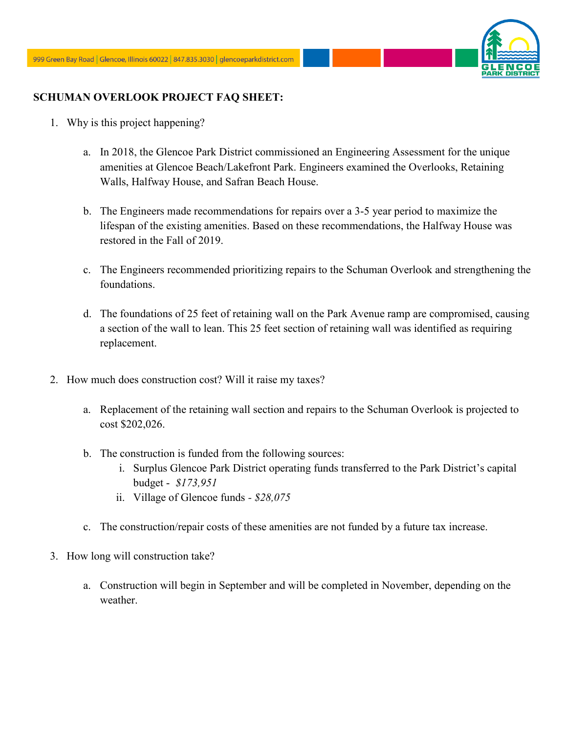

## **SCHUMAN OVERLOOK PROJECT FAQ SHEET:**

- 1. Why is this project happening?
	- a. In 2018, the Glencoe Park District commissioned an Engineering Assessment for the unique amenities at Glencoe Beach/Lakefront Park. Engineers examined the Overlooks, Retaining Walls, Halfway House, and Safran Beach House.
	- b. The Engineers made recommendations for repairs over a 3-5 year period to maximize the lifespan of the existing amenities. Based on these recommendations, the Halfway House was restored in the Fall of 2019.
	- c. The Engineers recommended prioritizing repairs to the Schuman Overlook and strengthening the foundations.
	- d. The foundations of 25 feet of retaining wall on the Park Avenue ramp are compromised, causing a section of the wall to lean. This 25 feet section of retaining wall was identified as requiring replacement.
- 2. How much does construction cost? Will it raise my taxes?
	- a. Replacement of the retaining wall section and repairs to the Schuman Overlook is projected to cost \$202,026.
	- b. The construction is funded from the following sources:
		- i. Surplus Glencoe Park District operating funds transferred to the Park District's capital budget - *\$173,951*
		- ii. Village of Glencoe funds *- \$28,075*
	- c. The construction/repair costs of these amenities are not funded by a future tax increase.
- 3. How long will construction take?
	- a. Construction will begin in September and will be completed in November, depending on the weather.